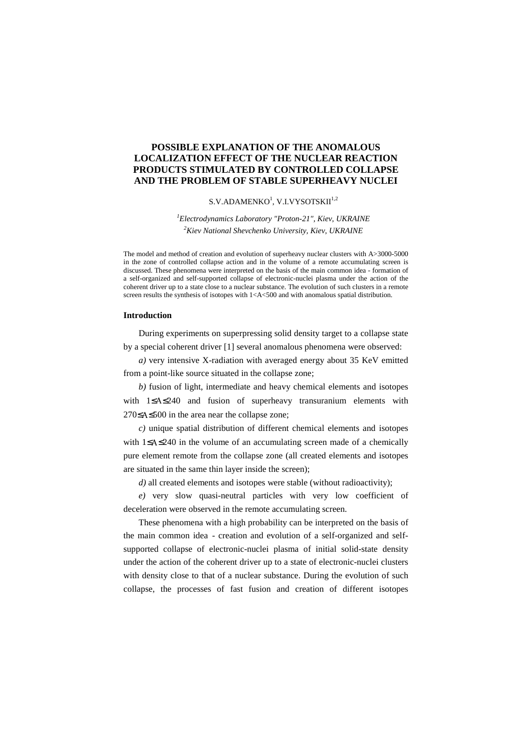# **POSSIBLE EXPLANATION OF THE ANOMALOUS LOCALIZATION EFFECT OF THE NUCLEAR REACTION PRODUCTS STIMULATED BY CONTROLLED COLLAPSE AND THE PROBLEM OF STABLE SUPERHEAVY NUCLEI**

### $\mathrm{S.V.}\mathrm{ADAMENKO}^{1},\,\mathrm{V.I.} \mathrm{VYSOTSKII}^{1,2}$

# *<sup>1</sup>Electrodynamics Laboratory "Proton-21", Kiev, UKRAINE <sup>2</sup>Kiev National Shevchenko University, Kiev, UKRAINE*

The model and method of creation and evolution of superheavy nuclear clusters with A>3000-5000 in the zone of controlled collapse action and in the volume of a remote accumulating screen is discussed. These phenomena were interpreted on the basis of the main common idea - formation of a self-organized and self-supported collapse of electronic-nuclei plasma under the action of the coherent driver up to a state close to a nuclear substance. The evolution of such clusters in a remote screen results the synthesis of isotopes with  $1 < A < 500$  and with anomalous spatial distribution.

### **Introduction**

During experiments on superpressing solid density target to a collapse state by a special coherent driver [1] several anomalous phenomena were observed:

*a)* very intensive X-radiation with averaged energy about 35 KeV emitted from a point-like source situated in the collapse zone;

*b)* fusion of light, intermediate and heavy chemical elements and isotopes with 1≤ ≤240 and fusion of superheavy transuranium elements with 270≤ ≤500 in the area near the collapse zone;

*c)* unique spatial distribution of different chemical elements and isotopes with 1≤ ≤240 in the volume of an accumulating screen made of a chemically pure element remote from the collapse zone (all created elements and isotopes are situated in the same thin layer inside the screen);

*d*) all created elements and isotopes were stable (without radioactivity);

*e)* very slow quasi-neutral particles with very low coefficient of deceleration were observed in the remote accumulating screen.

These phenomena with a high probability can be interpreted on the basis of the main common idea - creation and evolution of a self-organized and selfsupported collapse of electronic-nuclei plasma of initial solid-state density under the action of the coherent driver up to a state of electronic-nuclei clusters with density close to that of a nuclear substance. During the evolution of such collapse, the processes of fast fusion and creation of different isotopes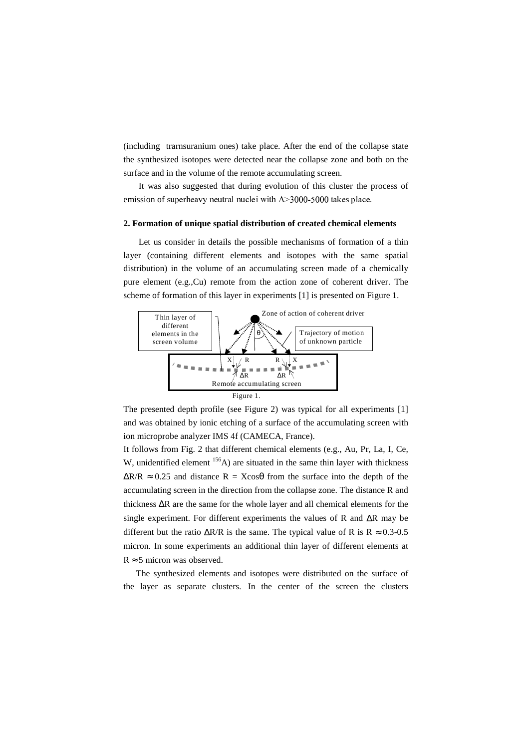(including trarnsuranium ones) take place. After the end of the collapse state the synthesized isotopes were detected near the collapse zone and both on the surface and in the volume of the remote accumulating screen.

It was also suggested that during evolution of this cluster the process of emission of superheavy neutral nuclei with  $A > 3000-5000$  takes place.

#### **2. Formation of unique spatial distribution of created chemical elements**

Let us consider in details the possible mechanisms of formation of a thin layer (containing different elements and isotopes with the same spatial distribution) in the volume of an accumulating screen made of a chemically pure element (e.g.,Cu) remote from the action zone of coherent driver. The scheme of formation of this layer in experiments [1] is presented on Figure 1.



The presented depth profile (see Figure 2) was typical for all experiments [1] and was obtained by ionic etching of a surface of the accumulating screen with ion microprobe analyzer IMS 4f (CAMECA, France).

It follows from Fig. 2 that different chemical elements (e.g., Au, Pr, La, I, Ce, W, unidentified element <sup>156</sup>A) are situated in the same thin layer with thickness  $\Delta R/R \approx 0.25$  and distance R = Xcos $\theta$  from the surface into the depth of the accumulating screen in the direction from the collapse zone. The distance R and thickness ∆R are the same for the whole layer and all chemical elements for the single experiment. For different experiments the values of R and ∆R may be different but the ratio  $\Delta R/R$  is the same. The typical value of R is R ≈ 0.3-0.5 micron. In some experiments an additional thin layer of different elements at  $R \approx 5$  micron was observed.

The synthesized elements and isotopes were distributed on the surface of the layer as separate clusters. In the center of the screen the clusters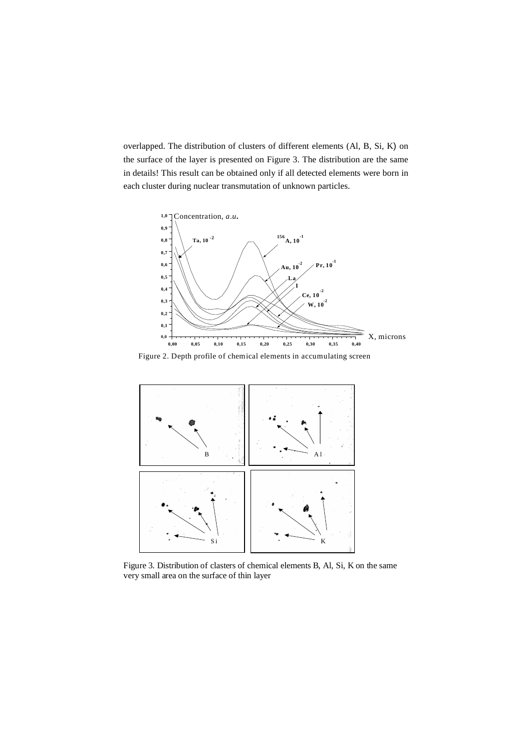overlapped. The distribution of clusters of different elements (Al, B, Si, K) on the surface of the layer is presented on Figure 3. The distribution are the same in details! This result can be obtained only if all detected elements were born in each cluster during nuclear transmutation of unknown particles.



Figure 2. Depth profile of chemical elements in accumulating screen



Figure 3. Distribution of clasters of chemical elements B, Al, Si, K on the same very small area on the surface of thin layer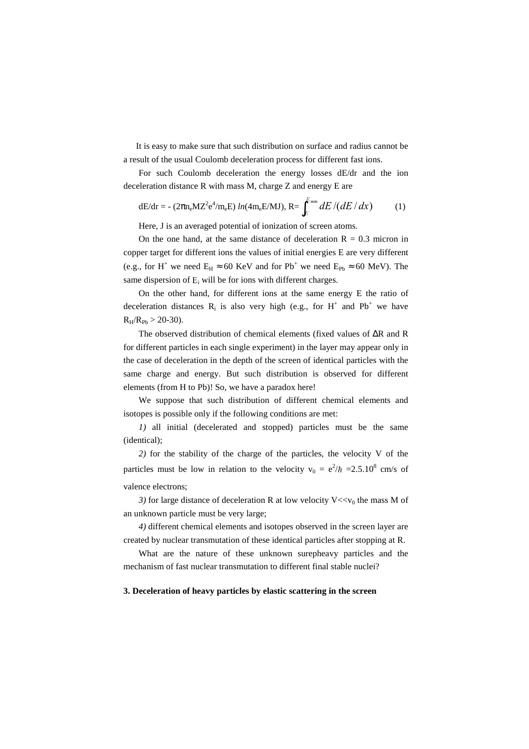It is easy to make sure that such distribution on surface and radius cannot be a result of the usual Coulomb deceleration process for different fast ions.

For such Coulomb deceleration the energy losses dE/dr and the ion deceleration distance R with mass M, charge Z and energy E are

$$
dE/dr = -(2\pi n_e M Z^2 e^4/m_e E) ln(4m_e E/MJ), R = \int_E^{E_{min}} dE / (dE / dx)
$$
 (1)

the contract of the contract of the contract of the contract of the contract of the contract of the contract of

Here, J is an averaged potential of ionization of screen atoms.

On the one hand, at the same distance of deceleration  $R = 0.3$  micron in copper target for different ions the values of initial energies E are very different (e.g., for H<sup>+</sup> we need  $E_H \approx 60$  KeV and for Pb<sup>+</sup> we need  $E_{Pb} \approx 60$  MeV). The same dispersion of  $E_i$  will be for ions with different charges.

On the other hand, for different ions at the same energy E the ratio of deceleration distances  $R_i$  is also very high (e.g., for H<sup>+</sup> and Pb<sup>+</sup> we have  $R_H/R_{Pb} > 20-30$ .

The observed distribution of chemical elements (fixed values of ∆R and R for different particles in each single experiment) in the layer may appear only in the case of deceleration in the depth of the screen of identical particles with the same charge and energy. But such distribution is observed for different elements (from H to Pb)! So, we have a paradox here!

We suppose that such distribution of different chemical elements and isotopes is possible only if the following conditions are met:

*1)* all initial (decelerated and stopped) particles must be the same (identical);

*2)* for the stability of the charge of the particles, the velocity V of the particles must be low in relation to the velocity  $v_0 = e^2/\hbar = 2.5.10^8$  cm/s of valence electrons;

*3)* for large distance of deceleration R at low velocity  $V \ll v_0$  the mass M of an unknown particle must be very large;

*4)* different chemical elements and isotopes observed in the screen layer are created by nuclear transmutation of these identical particles after stopping at R.

What are the nature of these unknown surepheavy particles and the mechanism of fast nuclear transmutation to different final stable nuclei?

## **3. Deceleration of heavy particles by elastic scattering in the screen**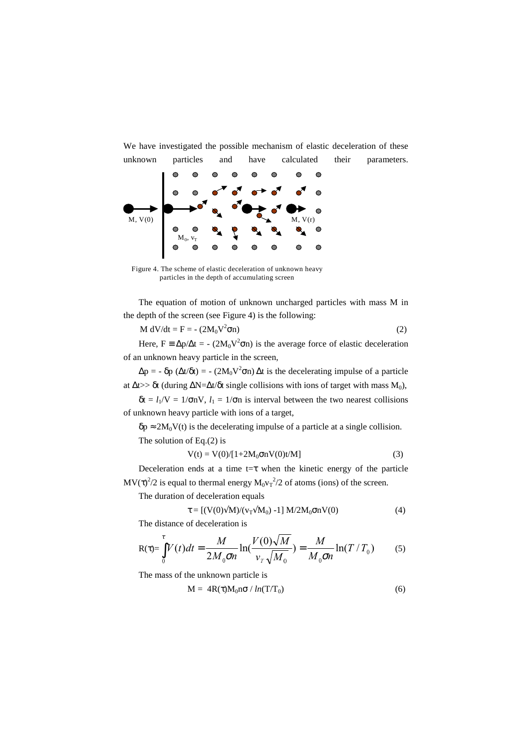We have investigated the possible mechanism of elastic deceleration of these



Figure 4. The scheme of elastic deceleration of unknown heavy particles in the depth of accumulating screen

The equation of motion of unknown uncharged particles with mass M in the depth of the screen (see Figure 4) is the following:

$$
M dV/dt = F = -(2M_0V^2 \sigma n)
$$
 (2)

Here,  $F = \Delta p / \Delta t = - (2M_0 V^2 \sigma n)$  is the average force of elastic deceleration of an unknown heavy particle in the screen,

 $\Delta p = -\delta p \left( \Delta t / \delta t \right) = - (2M_0 V^2 \sigma n) \Delta t$  is the decelerating impulse of a particle at  $\Delta t$  >> δt (during  $\Delta N = \Delta t/\delta t$  single collisions with ions of target with mass  $M_0$ ),

 $\delta t = l_1/V = 1/\sigma nV$ ,  $l_1 = 1/\sigma n$  is interval between the two nearest collisions of unknown heavy particle with ions of a target,

 $\delta p \approx 2M_0V(t)$  is the decelerating impulse of a particle at a single collision. The solution of Eq.(2) is

$$
V(t) = V(0)/[1+2M_0 \sigma n V(0)t/M]
$$
 (3)

Deceleration ends at a time  $t = \tau$  when the kinetic energy of the particle  $MV(\tau)^2/2$  is equal to thermal energy  $M_0v_T^2/2$  of atoms (ions) of the screen.

The duration of deceleration equals

$$
\tau = [(V(0)\sqrt{M})/(v_T \sqrt{M_0}) - 1] M/2M_0 \sigma n V(0)
$$
\n(4)

The distance of deceleration is

$$
R(\tau) = \int_0^{\tau} V(t)dt = \frac{M}{2M_0 \sigma n} \ln(\frac{V(0)\sqrt{M}}{v_T \sqrt{M_0}}) = \frac{M}{M_0 \sigma n} \ln(T/T_0)
$$
(5)

The mass of the unknown particle is

$$
M = 4R(\tau)M_0n\sigma / ln(T/T_0)
$$
\n(6)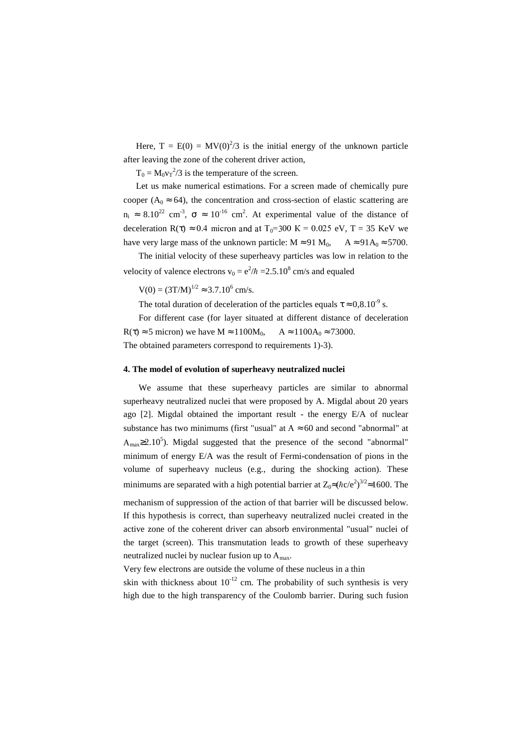Here,  $T = E(0) = MV(0)^2/3$  is the initial energy of the unknown particle after leaving the zone of the coherent driver action,

 $T_0 = M_0 v_T^2 / 3$  is the temperature of the screen.

Let us make numerical estimations. For a screen made of chemically pure cooper ( $A_0 \approx 64$ ), the concentration and cross-section of elastic scattering are  $n_i \approx 8.10^{22}$  cm<sup>-3</sup>,  $\sigma \approx 10^{-16}$  cm<sup>2</sup>. At experimental value of the distance of deceleration  $R(\tau) \approx 0.4$  micron and at  $T_0 = 300$  K = 0.025 eV, T = 35 KeV we have very large mass of the unknown particle:  $M \approx 91 M_0$ ,  $A \approx 91 A_0 \approx 5700$ .

The initial velocity of these superheavy particles was low in relation to the velocity of valence electrons  $v_0 = e^2/\hbar = 2.5.10^8$  cm/s and equaled

 $V(0) = (3T/M)^{1/2} \approx 3.7.10^6$  cm/s.

The total duration of deceleration of the particles equals  $\tau \approx 0.8.10^{-9}$  s.

For different case (for layer situated at different distance of deceleration  $R(\tau) \approx 5$  micron) we have  $M \approx 1100M_0$ ,  $A \approx 1100A_0 \approx 73000$ . The obtained parameters correspond to requirements 1)-3).

#### **4. The model of evolution of superheavy neutralized nuclei**

We assume that these superheavy particles are similar to abnormal superheavy neutralized nuclei that were proposed by A. Migdal about 20 years ago [2]. Migdal obtained the important result - the energy E/A of nuclear substance has two minimums (first "usual" at  $A \approx 60$  and second "abnormal" at  $A_{\text{max}} \geq 2.10^5$ ). Migdal suggested that the presence of the second "abnormal" minimum of energy E/A was the result of Fermi-condensation of pions in the volume of superheavy nucleus (e.g., during the shocking action). These minimums are separated with a high potential barrier at  $Z_0 \approx (\hbar c/e^2)^{3/2} \approx 1600$ . The mechanism of suppression of the action of that barrier will be discussed below. If this hypothesis is correct, than superheavy neutralized nuclei created in the active zone of the coherent driver can absorb environmental "usual" nuclei of the target (screen). This transmutation leads to growth of these superheavy

Very few electrons are outside the volume of these nucleus in a thin

neutralized nuclei by nuclear fusion up to  $A_{\text{max}}$ .

skin with thickness about  $10^{-12}$  cm. The probability of such synthesis is very high due to the high transparency of the Coulomb barrier. During such fusion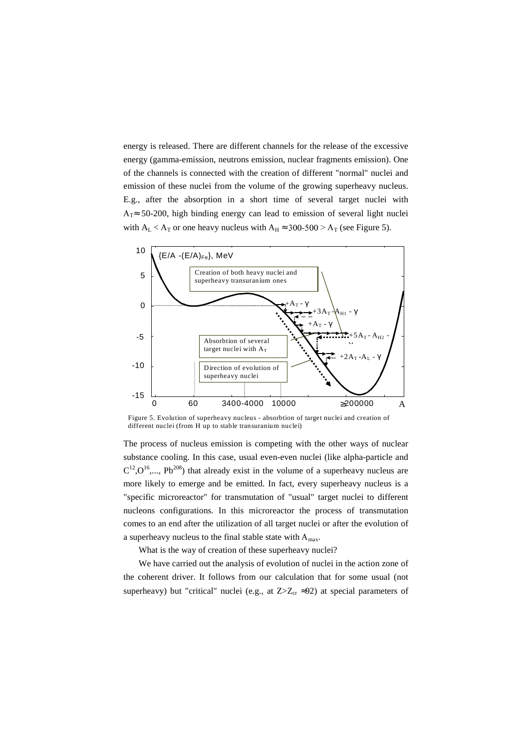energy is released. There are different channels for the release of the excessive energy (gamma-emission, neutrons emission, nuclear fragments emission). One of the channels is connected with the creation of different "normal" nuclei and emission of these nuclei from the volume of the growing superheavy nucleus. E.g., after the absorption in a short time of several target nuclei with  $A_T \approx 50-200$ , high binding energy can lead to emission of several light nuclei with  $A_L < A_T$  or one heavy nucleus with  $A_H \approx 300-500 > A_T$  (see Figure 5).



Figure 5. Evolution of superheavy nucleus - absorbtion of target nuclei and creation of different nuclei (from H up to stable transuranium nuclei)

The process of nucleus emission is competing with the other ways of nuclear substance cooling. In this case, usual even-even nuclei (like alpha-particle and  $C^{12}$ , $O^{16}$ ,..., Pb<sup>208</sup>) that already exist in the volume of a superheavy nucleus are more likely to emerge and be emitted. In fact, every superheavy nucleus is a "specific microreactor" for transmutation of "usual" target nuclei to different nucleons configurations. In this microreactor the process of transmutation comes to an end after the utilization of all target nuclei or after the evolution of a superheavy nucleus to the final stable state with A<sub>max</sub>.

What is the way of creation of these superheavy nuclei?

We have carried out the analysis of evolution of nuclei in the action zone of the coherent driver. It follows from our calculation that for some usual (not superheavy) but "critical" nuclei (e.g., at  $Z \ge Z_{cr} \approx 92$ ) at special parameters of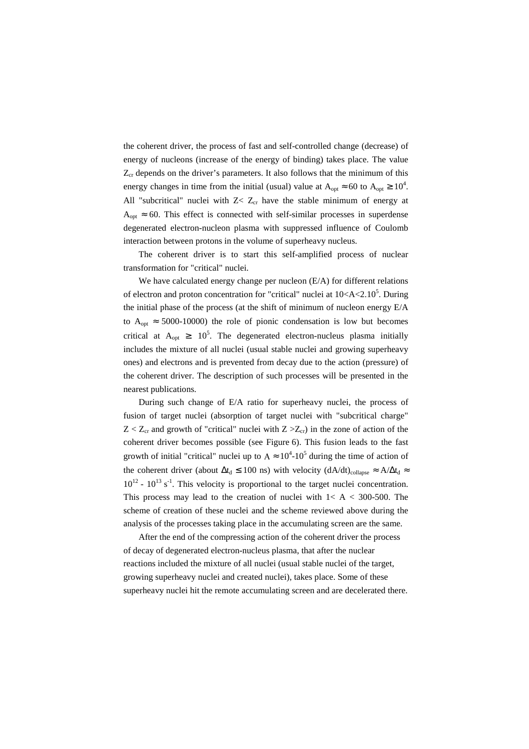the coherent driver, the process of fast and self-controlled change (decrease) of energy of nucleons (increase of the energy of binding) takes place. The value  $Z_{cr}$  depends on the driver's parameters. It also follows that the minimum of this energy changes in time from the initial (usual) value at  $A_{opt} \approx 60$  to  $A_{opt} \ge 10^4$ . All "subcritical" nuclei with  $Z < Z_{cr}$  have the stable minimum of energy at  $A_{opt} \approx 60$ . This effect is connected with self-similar processes in superdense degenerated electron-nucleon plasma with suppressed influence of Coulomb interaction between protons in the volume of superheavy nucleus.

The coherent driver is to start this self-amplified process of nuclear transformation for "critical" nuclei.

We have calculated energy change per nucleon (E/A) for different relations of electron and proton concentration for "critical" nuclei at  $10< A < 2.10<sup>5</sup>$ . During the initial phase of the process (at the shift of minimum of nucleon energy E/A to  $A_{opt} \approx 5000-10000$  the role of pionic condensation is low but becomes critical at  $A_{opt} \ge 10^5$ . The degenerated electron-nucleus plasma initially includes the mixture of all nuclei (usual stable nuclei and growing superheavy ones) and electrons and is prevented from decay due to the action (pressure) of the coherent driver. The description of such processes will be presented in the nearest publications.

During such change of E/A ratio for superheavy nuclei, the process of fusion of target nuclei (absorption of target nuclei with "subcritical charge"  $Z < Z_{cr}$  and growth of "critical" nuclei with  $Z > Z_{cr}$ ) in the zone of action of the coherent driver becomes possible (see Figure 6). This fusion leads to the fast growth of initial "critical" nuclei up to  $A \approx 10^4$ -10<sup>5</sup> during the time of action of the coherent driver (about  $\Delta t_d \le 100$  ns) with velocity  $(dA/dt)_{\text{collapse}} \approx A/\Delta t_d \approx$  $10^{12}$  -  $10^{13}$  s<sup>-1</sup>. This velocity is proportional to the target nuclei concentration. This process may lead to the creation of nuclei with  $1 < A < 300-500$ . The scheme of creation of these nuclei and the scheme reviewed above during the analysis of the processes taking place in the accumulating screen are the same.

After the end of the compressing action of the coherent driver the process of decay of degenerated electron-nucleus plasma, that after the nuclear reactions included the mixture of all nuclei (usual stable nuclei of the target, growing superheavy nuclei and created nuclei), takes place. Some of these superheavy nuclei hit the remote accumulating screen and are decelerated there.